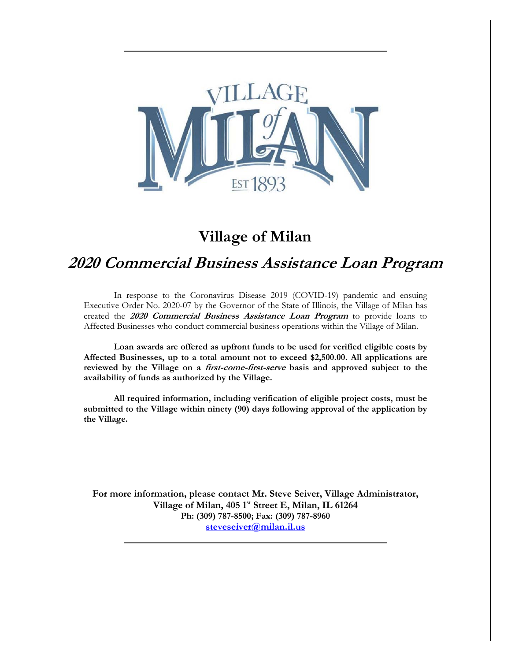

# **Village of Milan**

# **2020 Commercial Business Assistance Loan Program**

In response to the Coronavirus Disease 2019 (COVID-19) pandemic and ensuing Executive Order No. 2020-07 by the Governor of the State of Illinois, the Village of Milan has created the **2020 Commercial Business Assistance Loan Program** to provide loans to Affected Businesses who conduct commercial business operations within the Village of Milan.

**Loan awards are offered as upfront funds to be used for verified eligible costs by Affected Businesses, up to a total amount not to exceed \$2,500.00. All applications are reviewed by the Village on a first-come-first-serve basis and approved subject to the availability of funds as authorized by the Village.** 

**All required information, including verification of eligible project costs, must be submitted to the Village within ninety (90) days following approval of the application by the Village.** 

**For more information, please contact Mr. Steve Seiver, Village Administrator, Village of Milan, 405 1st Street E, Milan, IL 61264 Ph: (309) 787-8500; Fax: (309) 787-8960 steveseiver@milan.il.us**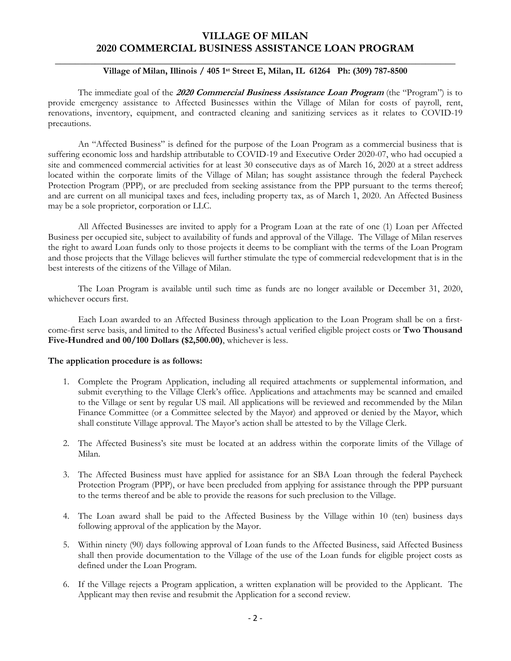### **VILLAGE OF MILAN 2020 COMMERCIAL BUSINESS ASSISTANCE LOAN PROGRAM**

#### \_\_\_\_\_\_\_\_\_\_\_\_\_\_\_\_\_\_\_\_\_\_\_\_\_\_\_\_\_\_\_\_\_\_\_\_\_\_\_\_\_\_\_\_\_\_\_\_\_\_\_\_\_\_\_\_\_\_\_\_\_\_\_\_\_\_\_\_\_\_\_\_\_\_\_\_\_\_\_\_ **Village of Milan, Illinois / 405 1st Street E, Milan, IL 61264 Ph: (309) 787-8500**

The immediate goal of the **<sup>2020</sup> Commercial Business Assistance Loan Program** (the "Program") is to provide emergency assistance to Affected Businesses within the Village of Milan for costs of payroll, rent, renovations, inventory, equipment, and contracted cleaning and sanitizing services as it relates to COVID-19 precautions.

An "Affected Business" is defined for the purpose of the Loan Program as a commercial business that is suffering economic loss and hardship attributable to COVID-19 and Executive Order 2020-07, who had occupied a site and commenced commercial activities for at least 30 consecutive days as of March 16, 2020 at a street address located within the corporate limits of the Village of Milan; has sought assistance through the federal Paycheck Protection Program (PPP), or are precluded from seeking assistance from the PPP pursuant to the terms thereof; and are current on all municipal taxes and fees, including property tax, as of March 1, 2020. An Affected Business may be a sole proprietor, corporation or LLC.

All Affected Businesses are invited to apply for a Program Loan at the rate of one (1) Loan per Affected Business per occupied site, subject to availability of funds and approval of the Village. The Village of Milan reserves the right to award Loan funds only to those projects it deems to be compliant with the terms of the Loan Program and those projects that the Village believes will further stimulate the type of commercial redevelopment that is in the best interests of the citizens of the Village of Milan.

The Loan Program is available until such time as funds are no longer available or December 31, 2020, whichever occurs first.

Each Loan awarded to an Affected Business through application to the Loan Program shall be on a firstcome-first serve basis, and limited to the Affected Business's actual verified eligible project costs or **Two Thousand Five-Hundred and 00/100 Dollars (\$2,500.00)**, whichever is less.

#### **The application procedure is as follows:**

- 1. Complete the Program Application, including all required attachments or supplemental information, and submit everything to the Village Clerk's office. Applications and attachments may be scanned and emailed to the Village or sent by regular US mail. All applications will be reviewed and recommended by the Milan Finance Committee (or a Committee selected by the Mayor) and approved or denied by the Mayor, which shall constitute Village approval. The Mayor's action shall be attested to by the Village Clerk.
- 2. The Affected Business's site must be located at an address within the corporate limits of the Village of Milan.
- 3. The Affected Business must have applied for assistance for an SBA Loan through the federal Paycheck Protection Program (PPP), or have been precluded from applying for assistance through the PPP pursuant to the terms thereof and be able to provide the reasons for such preclusion to the Village.
- 4. The Loan award shall be paid to the Affected Business by the Village within 10 (ten) business days following approval of the application by the Mayor.
- 5. Within ninety (90) days following approval of Loan funds to the Affected Business, said Affected Business shall then provide documentation to the Village of the use of the Loan funds for eligible project costs as defined under the Loan Program.
- 6. If the Village rejects a Program application, a written explanation will be provided to the Applicant. The Applicant may then revise and resubmit the Application for a second review.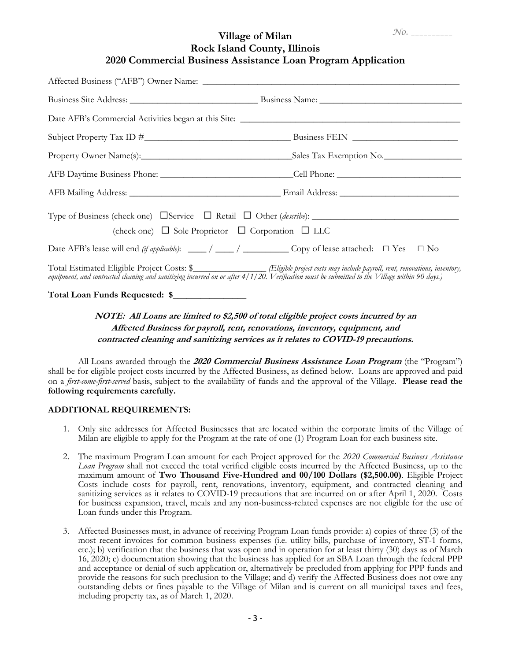### **Village of Milan Rock Island County, Illinois 2020 Commercial Business Assistance Loan Program Application**

| Type of Business (check one) $\Box$ Service $\Box$ Retail $\Box$ Other ( <i>describe</i> ):<br>(check one) $\Box$ Sole Proprietor $\Box$ Corporation $\Box$ LLC                                                                                                                           |  |
|-------------------------------------------------------------------------------------------------------------------------------------------------------------------------------------------------------------------------------------------------------------------------------------------|--|
|                                                                                                                                                                                                                                                                                           |  |
| Total Estimated Eligible Project Costs: \$________________ (Eligible project costs may include payroll, rent, renovations, inventory,<br>equipment, and contracted cleaning and sanitizing incurred on or after $4/1/20$ . Verification must be submitted to the Village within 90 days.) |  |

**Total Loan Funds Requested: \$\_\_\_\_\_\_\_\_\_\_\_\_\_\_\_\_** 

## **NOTE: All Loans are limited to \$2,500 of total eligible project costs incurred by an Affected Business for payroll, rent, renovations, inventory, equipment, and contracted cleaning and sanitizing services as it relates to COVID-19 precautions.**

All Loans awarded through the **2020 Commercial Business Assistance Loan Program** (the "Program") shall be for eligible project costs incurred by the Affected Business, as defined below. Loans are approved and paid on a *first-come-first-served* basis, subject to the availability of funds and the approval of the Village. **Please read the following requirements carefully.**

#### **ADDITIONAL REQUIREMENTS:**

- 1. Only site addresses for Affected Businesses that are located within the corporate limits of the Village of Milan are eligible to apply for the Program at the rate of one (1) Program Loan for each business site.
- 2. The maximum Program Loan amount for each Project approved for the *2020 Commercial Business Assistance Loan Program* shall not exceed the total verified eligible costs incurred by the Affected Business, up to the maximum amount of **Two Thousand Five-Hundred and 00/100 Dollars (\$2,500.00)**. Eligible Project Costs include costs for payroll, rent, renovations, inventory, equipment, and contracted cleaning and sanitizing services as it relates to COVID-19 precautions that are incurred on or after April 1, 2020. Costs for business expansion, travel, meals and any non-business-related expenses are not eligible for the use of Loan funds under this Program.
- 3. Affected Businesses must, in advance of receiving Program Loan funds provide: a) copies of three (3) of the most recent invoices for common business expenses (i.e. utility bills, purchase of inventory, ST-1 forms, etc.); b) verification that the business that was open and in operation for at least thirty (30) days as of March 16, 2020; c) documentation showing that the business has applied for an SBA Loan through the federal PPP and acceptance or denial of such application or, alternatively be precluded from applying for PPP funds and provide the reasons for such preclusion to the Village; and d) verify the Affected Business does not owe any outstanding debts or fines payable to the Village of Milan and is current on all municipal taxes and fees, including property tax, as of March 1, 2020.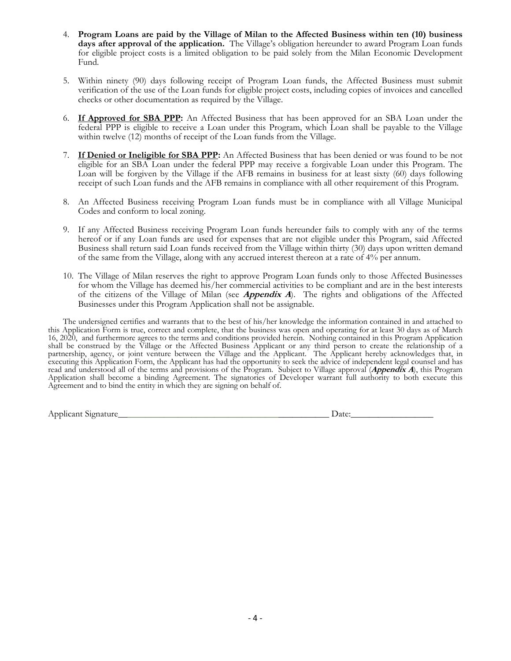- 4. **Program Loans are paid by the Village of Milan to the Affected Business within ten (10) business days after approval of the application.** The Village's obligation hereunder to award Program Loan funds for eligible project costs is a limited obligation to be paid solely from the Milan Economic Development Fund.
- 5. Within ninety (90) days following receipt of Program Loan funds, the Affected Business must submit verification of the use of the Loan funds for eligible project costs, including copies of invoices and cancelled checks or other documentation as required by the Village.
- 6. **If Approved for SBA PPP:** An Affected Business that has been approved for an SBA Loan under the federal PPP is eligible to receive a Loan under this Program, which Loan shall be payable to the Village within twelve (12) months of receipt of the Loan funds from the Village.
- 7. **If Denied or Ineligible for SBA PPP:** An Affected Business that has been denied or was found to be not eligible for an SBA Loan under the federal PPP may receive a forgivable Loan under this Program. The Loan will be forgiven by the Village if the AFB remains in business for at least sixty (60) days following receipt of such Loan funds and the AFB remains in compliance with all other requirement of this Program.
- 8. An Affected Business receiving Program Loan funds must be in compliance with all Village Municipal Codes and conform to local zoning.
- 9. If any Affected Business receiving Program Loan funds hereunder fails to comply with any of the terms hereof or if any Loan funds are used for expenses that are not eligible under this Program, said Affected Business shall return said Loan funds received from the Village within thirty (30) days upon written demand of the same from the Village, along with any accrued interest thereon at a rate of 4% per annum.
- 10. The Village of Milan reserves the right to approve Program Loan funds only to those Affected Businesses for whom the Village has deemed his/her commercial activities to be compliant and are in the best interests of the citizens of the Village of Milan (see *Appendix A*). The rights and obligations of the Affected Businesses under this Program Application shall not be assignable.

The undersigned certifies and warrants that to the best of his/her knowledge the information contained in and attached to this Application Form is true, correct and complete, that the business was open and operating for at least 30 days as of March 16, 2020, and furthermore agrees to the terms and conditions provided herein. Nothing contained in this Program Application shall be construed by the Village or the Affected Business Applicant or any third person to create the relationship of a partnership, agency, or joint venture between the Village and the Applicant. The Applicant hereby acknowledges that, in executing this Application Form, the Applicant has had the opportunity to seek the advice of independent legal counsel and has read and understood all of the terms and provisions of the Program. Subject to Village approval (**Appendix A**), this Program Application shall become a binding Agreement. The signatories of Developer warrant full authority to both execute this Agreement and to bind the entity in which they are signing on behalf of.

Applicant Signature Later and the set of the set of the set of the set of the set of the set of the set of the set of the set of the set of the set of the set of the set of the set of the set of the set of the set of the s